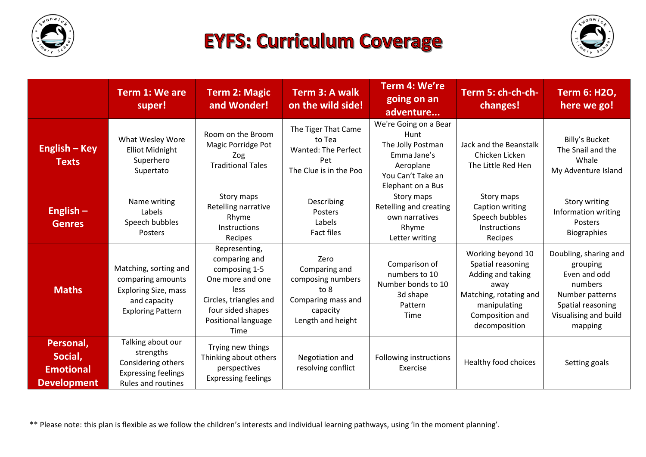

## **EYFS: Curriculum Coverage**



|                                                                | <b>Term 1: We are</b><br>super!                                                                                       | <b>Term 2: Magic</b><br>and Wonder!                                                                                                                              | Term 3: A walk<br>on the wild side!                                                                       | Term 4: We're<br>going on an<br>adventure                                                                                | Term 5: ch-ch-ch-<br>changes!                                                                                                                     | Term 6: H2O,<br>here we go!                                                                                                              |
|----------------------------------------------------------------|-----------------------------------------------------------------------------------------------------------------------|------------------------------------------------------------------------------------------------------------------------------------------------------------------|-----------------------------------------------------------------------------------------------------------|--------------------------------------------------------------------------------------------------------------------------|---------------------------------------------------------------------------------------------------------------------------------------------------|------------------------------------------------------------------------------------------------------------------------------------------|
| English – Key<br><b>Texts</b>                                  | What Wesley Wore<br><b>Elliot Midnight</b><br>Superhero<br>Supertato                                                  | Room on the Broom<br>Magic Porridge Pot<br>Zog<br><b>Traditional Tales</b>                                                                                       | The Tiger That Came<br>to Tea<br><b>Wanted: The Perfect</b><br>Pet<br>The Clue is in the Poo              | We're Going on a Bear<br>Hunt<br>The Jolly Postman<br>Emma Jane's<br>Aeroplane<br>You Can't Take an<br>Elephant on a Bus | Jack and the Beanstalk<br>Chicken Licken<br>The Little Red Hen                                                                                    | Billy's Bucket<br>The Snail and the<br>Whale<br>My Adventure Island                                                                      |
| English $-$<br><b>Genres</b>                                   | Name writing<br>Labels<br>Speech bubbles<br><b>Posters</b>                                                            | Story maps<br>Retelling narrative<br>Rhyme<br><b>Instructions</b><br>Recipes                                                                                     | Describing<br>Posters<br>Labels<br><b>Fact files</b>                                                      | Story maps<br>Retelling and creating<br>own narratives<br>Rhyme<br>Letter writing                                        | Story maps<br>Caption writing<br>Speech bubbles<br>Instructions<br>Recipes                                                                        | Story writing<br>Information writing<br>Posters<br><b>Biographies</b>                                                                    |
| <b>Maths</b>                                                   | Matching, sorting and<br>comparing amounts<br><b>Exploring Size, mass</b><br>and capacity<br><b>Exploring Pattern</b> | Representing,<br>comparing and<br>composing 1-5<br>One more and one<br><b>less</b><br>Circles, triangles and<br>four sided shapes<br>Positional language<br>Time | Zero<br>Comparing and<br>composing numbers<br>to 8<br>Comparing mass and<br>capacity<br>Length and height | Comparison of<br>numbers to 10<br>Number bonds to 10<br>3d shape<br>Pattern<br>Time                                      | Working beyond 10<br>Spatial reasoning<br>Adding and taking<br>away<br>Matching, rotating and<br>manipulating<br>Composition and<br>decomposition | Doubling, sharing and<br>grouping<br>Even and odd<br>numbers<br>Number patterns<br>Spatial reasoning<br>Visualising and build<br>mapping |
| Personal,<br>Social,<br><b>Emotional</b><br><b>Development</b> | Talking about our<br>strengths<br>Considering others<br><b>Expressing feelings</b><br><b>Rules and routines</b>       | Trying new things<br>Thinking about others<br>perspectives<br><b>Expressing feelings</b>                                                                         | Negotiation and<br>resolving conflict                                                                     | Following instructions<br>Exercise                                                                                       | Healthy food choices                                                                                                                              | Setting goals                                                                                                                            |

\*\* Please note: this plan is flexible as we follow the children's interests and individual learning pathways, using 'in the moment planning'.